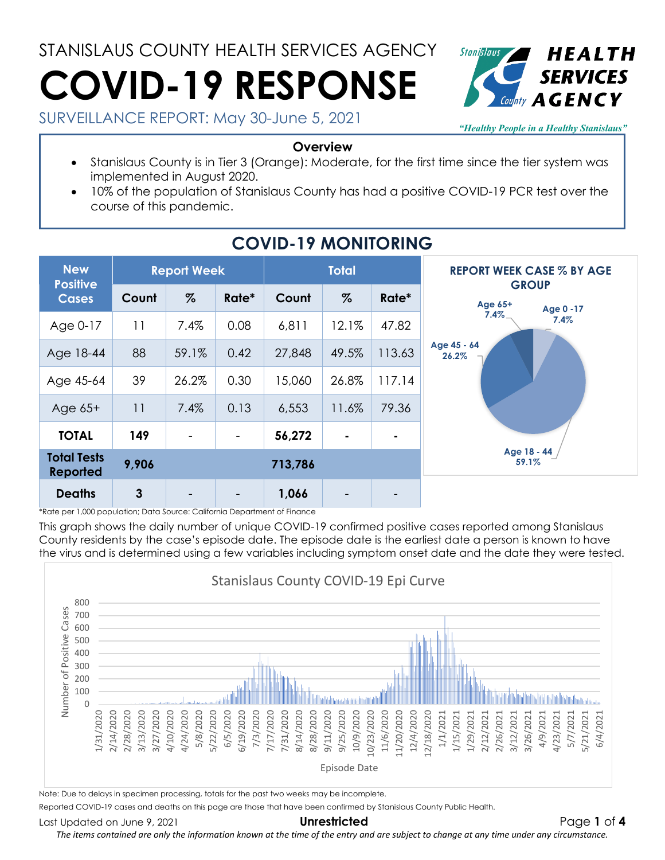# STANISLAUS COUNTY HEALTH SERVICES AGENCY **COVID-19 RESPONSE**



SURVEILLANCE REPORT: May 30-June 5, 2021

*"Healthy People in a Healthy Stanislaus"*

#### **Overview**

- Stanislaus County is in Tier 3 (Orange): Moderate, for the first time since the tier system was implemented in August 2020.
- 10% of the population of Stanislaus County has had a positive COVID-19 PCR test over the course of this pandemic.

| <b>New</b><br><b>Positive</b><br><b>Cases</b> | <b>Report Week</b> |                          |                          | <b>Total</b> |                          |        | <b>REPORT WEEK CASE % BY AGE</b>     |  |
|-----------------------------------------------|--------------------|--------------------------|--------------------------|--------------|--------------------------|--------|--------------------------------------|--|
|                                               | Count              | $\%$                     | Rate*                    | Count        | $\%$                     | Rate*  | <b>GROUP</b><br>Age 65+<br>Age 0 -17 |  |
| Age 0-17                                      | 11                 | 7.4%                     | 0.08                     | 6,811        | 12.1%                    | 47.82  | $7.4\%$<br>7.4%                      |  |
| Age 18-44                                     | 88                 | 59.1%                    | 0.42                     | 27,848       | 49.5%                    | 113.63 | Age 45 - 64<br>26.2%                 |  |
| Age 45-64                                     | 39                 | 26.2%                    | 0.30                     | 15,060       | 26.8%                    | 117.14 |                                      |  |
| Age $65+$                                     | 11                 | 7.4%                     | 0.13                     | 6,553        | 11.6%                    | 79.36  |                                      |  |
| <b>TOTAL</b>                                  | 149                | $\overline{\phantom{a}}$ | $\overline{\phantom{a}}$ | 56,272       | $\blacksquare$           |        |                                      |  |
| <b>Total Tests</b><br><b>Reported</b>         | 9,906              |                          |                          | 713,786      |                          |        | Age 18 - 44<br>59.1%                 |  |
| <b>Deaths</b>                                 | $\mathbf{3}$       |                          |                          | 1,066        | $\overline{\phantom{a}}$ |        |                                      |  |

# **COVID-19 MONITORING**

\*Rate per 1,000 population; Data Source: California Department of Finance

This graph shows the daily number of unique COVID-19 confirmed positive cases reported among Stanislaus County residents by the case's episode date. The episode date is the earliest date a person is known to have the virus and is determined using a few variables including symptom onset date and the date they were tested.



Note: Due to delays in specimen processing, totals for the past two weeks may be incomplete.

Reported COVID-19 cases and deaths on this page are those that have been confirmed by Stanislaus County Public Health.

Last Updated on June 9, 2021 **Unrestricted** Page **1** of **4**

*The items contained are only the information known at the time of the entry and are subject to change at any time under any circumstance.*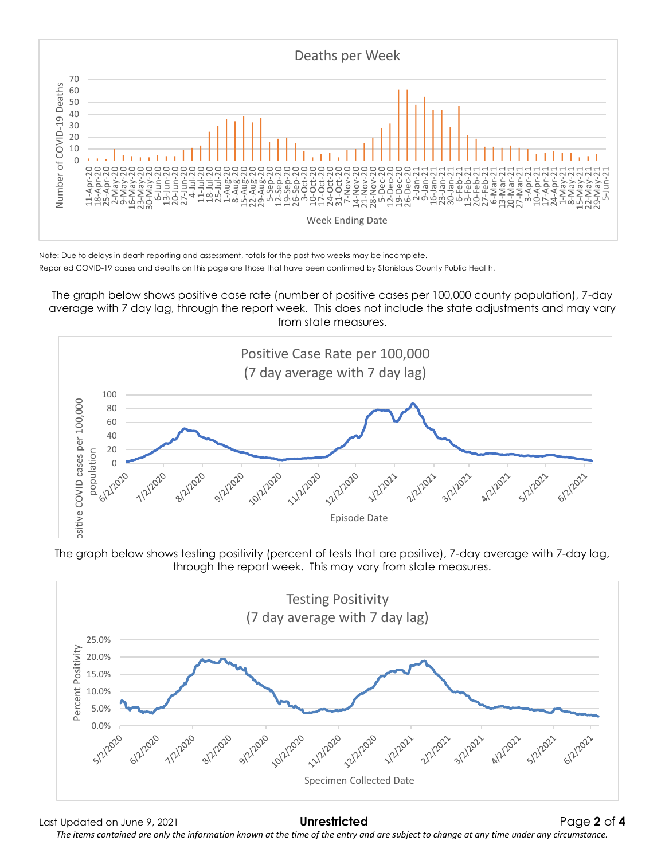

Note: Due to delays in death reporting and assessment, totals for the past two weeks may be incomplete. Reported COVID-19 cases and deaths on this page are those that have been confirmed by Stanislaus County Public Health.

The graph below shows positive case rate (number of positive cases per 100,000 county population), 7-day average with 7 day lag, through the report week. This does not include the state adjustments and may vary from state measures.



The graph below shows testing positivity (percent of tests that are positive), 7-day average with 7-day lag, through the report week. This may vary from state measures.



Last Updated on June 9, 2021 **Unrestricted** Page **2** of **4** *The items contained are only the information known at the time of the entry and are subject to change at any time under any circumstance.*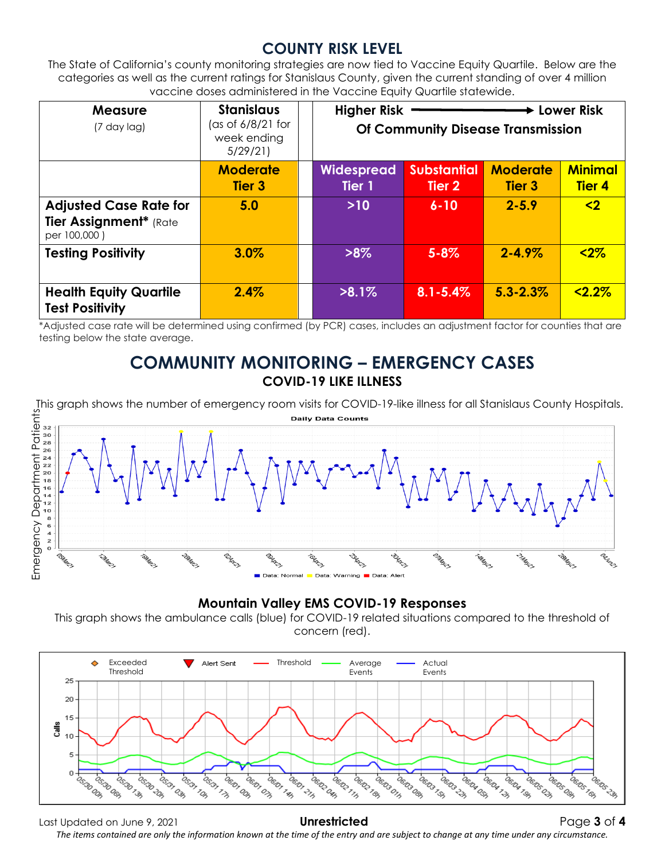### **COUNTY RISK LEVEL**

The State of California's county monitoring strategies are now tied to Vaccine Equity Quartile. Below are the categories as well as the current ratings for Stanislaus County, given the current standing of over 4 million vaccine doses administered in the Vaccine Equity Quartile statewide.

| <b>Measure</b><br>$(7$ day lag)                                         | <b>Stanislaus</b><br>(as of $6/8/21$ for<br>week ending<br>5/29/21 | <b>Higher Risk</b><br>Lower Risk<br>Of Community Disease Transmission |                              |                                  |                                 |
|-------------------------------------------------------------------------|--------------------------------------------------------------------|-----------------------------------------------------------------------|------------------------------|----------------------------------|---------------------------------|
|                                                                         | <b>Moderate</b><br>Tier <sub>3</sub>                               | <b>Widespread</b><br>Tier 1                                           | <b>Substantial</b><br>Tier 2 | <b>Moderate</b><br><b>Tier 3</b> | <b>Minimal</b><br><b>Tier 4</b> |
| <b>Adjusted Case Rate for</b><br>Tier Assignment* (Rate<br>per 100,000) | 5.0                                                                | $>10$                                                                 | $6 - 10$                     | $2 - 5.9$                        | $\overline{2}$                  |
| <b>Testing Positivity</b>                                               | 3.0%                                                               | $>8\%$                                                                | $5 - 8\%$                    | $2 - 4.9\%$                      | $2%$                            |
| <b>Health Equity Quartile</b><br><b>Test Positivity</b>                 | 2.4%                                                               | $>8.1\%$                                                              | $8.1 - 5.4\%$                | $5.3 - 2.3\%$                    | $22.2\%$                        |

\*Adjusted case rate will be determined using confirmed (by PCR) cases, includes an adjustment factor for counties that are testing below the state average.

#### **COMMUNITY MONITORING – EMERGENCY CASES COVID-19 LIKE ILLNESS**



#### **Mountain Valley EMS COVID-19 Responses**

This graph shows the ambulance calls (blue) for COVID-19 related situations compared to the threshold of concern (red).



Last Updated on June 9, 2021 **Unrestricted** Page **3** of **4** *The items contained are only the information known at the time of the entry and are subject to change at any time under any circumstance.*